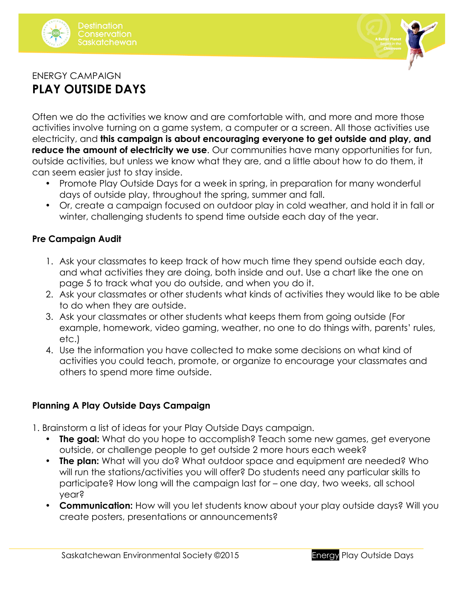



# ENERGY CAMPAIGN **PLAY OUTSIDE DAYS**

Often we do the activities we know and are comfortable with, and more and more those activities involve turning on a game system, a computer or a screen. All those activities use electricity, and **this campaign is about encouraging everyone to get outside and play, and reduce the amount of electricity we use**. Our communities have many opportunities for fun, outside activities, but unless we know what they are, and a little about how to do them, it can seem easier just to stay inside.

- Promote Play Outside Days for a week in spring, in preparation for many wonderful days of outside play, throughout the spring, summer and fall.
- Or, create a campaign focused on outdoor play in cold weather, and hold it in fall or winter, challenging students to spend time outside each day of the year.

# **Pre Campaign Audit**

- 1. Ask your classmates to keep track of how much time they spend outside each day, and what activities they are doing, both inside and out. Use a chart like the one on page 5 to track what you do outside, and when you do it.
- 2. Ask your classmates or other students what kinds of activities they would like to be able to do when they are outside.
- 3. Ask your classmates or other students what keeps them from going outside (For example, homework, video gaming, weather, no one to do things with, parents' rules, etc.)
- 4. Use the information you have collected to make some decisions on what kind of activities you could teach, promote, or organize to encourage your classmates and others to spend more time outside.

# **Planning A Play Outside Days Campaign**

- 1. Brainstorm a list of ideas for your Play Outside Days campaign.
	- **The goal:** What do you hope to accomplish? Teach some new games, get everyone outside, or challenge people to get outside 2 more hours each week?
	- **The plan:** What will you do? What outdoor space and equipment are needed? Who will run the stations/activities you will offer? Do students need any particular skills to participate? How long will the campaign last for – one day, two weeks, all school year?
	- **Communication:** How will you let students know about your play outside days? Will you create posters, presentations or announcements?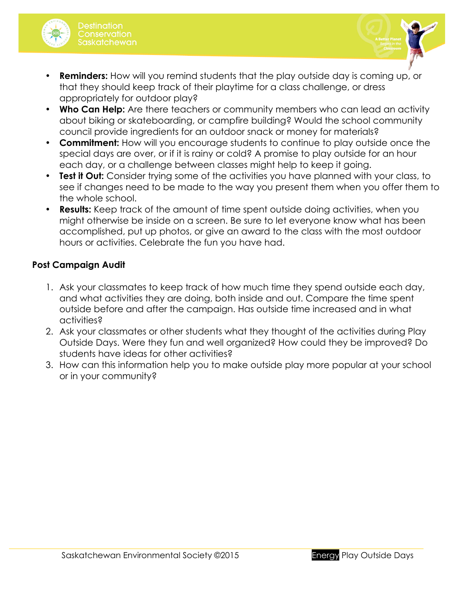



- **Reminders:** How will you remind students that the play outside day is coming up, or that they should keep track of their playtime for a class challenge, or dress appropriately for outdoor play?
- **Who Can Help:** Are there teachers or community members who can lead an activity about biking or skateboarding, or campfire building? Would the school community council provide ingredients for an outdoor snack or money for materials?
- **Commitment:** How will you encourage students to continue to play outside once the special days are over, or if it is rainy or cold? A promise to play outside for an hour each day, or a challenge between classes might help to keep it going.
- **Test it Out:** Consider trying some of the activities you have planned with your class, to see if changes need to be made to the way you present them when you offer them to the whole school.
- **Results:** Keep track of the amount of time spent outside doing activities, when you might otherwise be inside on a screen. Be sure to let everyone know what has been accomplished, put up photos, or give an award to the class with the most outdoor hours or activities. Celebrate the fun you have had.

#### **Post Campaign Audit**

- 1. Ask your classmates to keep track of how much time they spend outside each day, and what activities they are doing, both inside and out. Compare the time spent outside before and after the campaign. Has outside time increased and in what activities?
- 2. Ask your classmates or other students what they thought of the activities during Play Outside Days. Were they fun and well organized? How could they be improved? Do students have ideas for other activities?
- 3. How can this information help you to make outside play more popular at your school or in your community?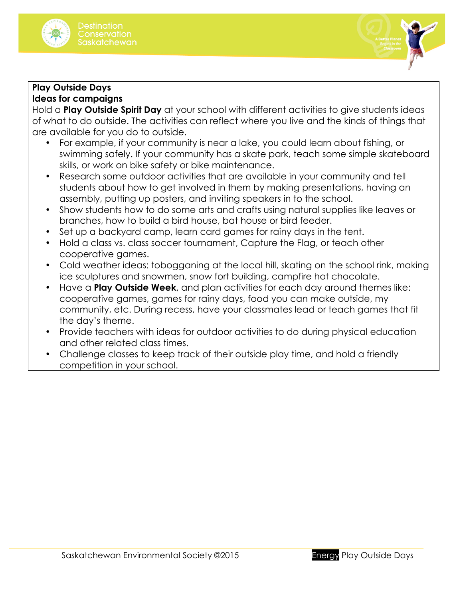



# **Play Outside Days Ideas for campaigns**

Hold a **Play Outside Spirit Day** at your school with different activities to give students ideas of what to do outside. The activities can reflect where you live and the kinds of things that are available for you do to outside.

- For example, if your community is near a lake, you could learn about fishing, or swimming safely. If your community has a skate park, teach some simple skateboard skills, or work on bike safety or bike maintenance.
- Research some outdoor activities that are available in your community and tell students about how to get involved in them by making presentations, having an assembly, putting up posters, and inviting speakers in to the school.
- Show students how to do some arts and crafts using natural supplies like leaves or branches, how to build a bird house, bat house or bird feeder.
- Set up a backyard camp, learn card games for rainy days in the tent.
- Hold a class vs. class soccer tournament, Capture the Flag, or teach other cooperative games.
- Cold weather ideas: tobogganing at the local hill, skating on the school rink, making ice sculptures and snowmen, snow fort building, campfire hot chocolate.
- Have a **Play Outside Week**, and plan activities for each day around themes like: cooperative games, games for rainy days, food you can make outside, my community, etc. During recess, have your classmates lead or teach games that fit the day's theme.
- Provide teachers with ideas for outdoor activities to do during physical education and other related class times.
- Challenge classes to keep track of their outside play time, and hold a friendly competition in your school.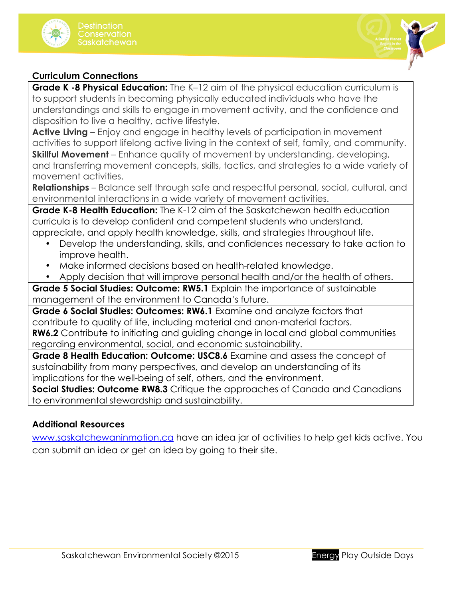



#### **Curriculum Connections**

**Grade K -8 Physical Education:** The K-12 aim of the physical education curriculum is to support students in becoming physically educated individuals who have the understandings and skills to engage in movement activity, and the confidence and disposition to live a healthy, active lifestyle.

**Active Living** – Enjoy and engage in healthy levels of participation in movement activities to support lifelong active living in the context of self, family, and community. **Skillful Movement** – Enhance quality of movement by understanding, developing, and transferring movement concepts, skills, tactics, and strategies to a wide variety of movement activities.

**Relationships** – Balance self through safe and respectful personal, social, cultural, and environmental interactions in a wide variety of movement activities.

**Grade K-8 Health Education:** The K-12 aim of the Saskatchewan health education curricula is to develop confident and competent students who understand, appreciate, and apply health knowledge, skills, and strategies throughout life.

- Develop the understanding, skills, and confidences necessary to take action to improve health.
- Make informed decisions based on health-related knowledge.
- Apply decision that will improve personal health and/or the health of others.

**Grade 5 Social Studies: Outcome: RW5.1** Explain the importance of sustainable management of the environment to Canada's future.

**Grade 6 Social Studies: Outcomes: RW6.1** Examine and analyze factors that contribute to quality of life, including material and anon-material factors. **RW6.2** Contribute to initiating and guiding change in local and global communities

regarding environmental, social, and economic sustainability.

**Grade 8 Health Education: Outcome: USC8.6** Examine and assess the concept of sustainability from many perspectives, and develop an understanding of its implications for the well-being of self, others, and the environment.

**Social Studies: Outcome RW8.3** Critique the approaches of Canada and Canadians to environmental stewardship and sustainability.

# **Additional Resources**

www.saskatchewaninmotion.ca have an idea jar of activities to help get kids active. You can submit an idea or get an idea by going to their site.